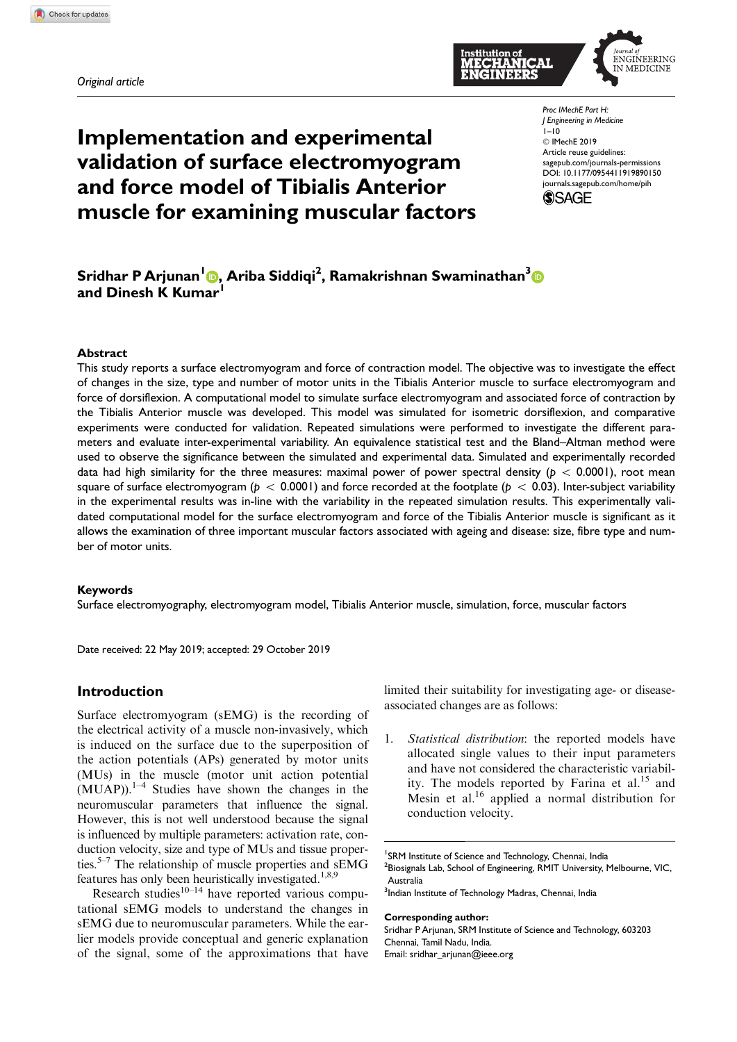*Original article*



Implementation and experimental validation of surface electromyogram and force model of Tibialis Anterior muscle for examining muscular factors

*Proc IMechE Part H: J Engineering in Medicine*  $1-10$ © IMechE 2019 Article reuse guidelines: sagepub.com/journals-permissions DOI: 10.1177/0954411919890150 journals.sagepub.com/home/pih



# Sridhar P Arjunan<sup>l</sup> <mark>O</mark>, Ariba Siddiqi<sup>2</sup>, Ramakrishnan Swaminathan<sup>3</sup> and Dinesh K Kumar

#### Abstract

This study reports a surface electromyogram and force of contraction model. The objective was to investigate the effect of changes in the size, type and number of motor units in the Tibialis Anterior muscle to surface electromyogram and force of dorsiflexion. A computational model to simulate surface electromyogram and associated force of contraction by the Tibialis Anterior muscle was developed. This model was simulated for isometric dorsiflexion, and comparative experiments were conducted for validation. Repeated simulations were performed to investigate the different parameters and evaluate inter-experimental variability. An equivalence statistical test and the Bland–Altman method were used to observe the significance between the simulated and experimental data. Simulated and experimentally recorded data had high similarity for the three measures: maximal power of power spectral density ( $p < 0.0001$ ), root mean square of surface electromyogram ( $p < 0.0001$ ) and force recorded at the footplate ( $p < 0.03$ ). Inter-subject variability in the experimental results was in-line with the variability in the repeated simulation results. This experimentally validated computational model for the surface electromyogram and force of the Tibialis Anterior muscle is significant as it allows the examination of three important muscular factors associated with ageing and disease: size, fibre type and number of motor units.

## Keywords

Surface electromyography, electromyogram model, Tibialis Anterior muscle, simulation, force, muscular factors

Date received: 22 May 2019; accepted: 29 October 2019

## Introduction

Surface electromyogram (sEMG) is the recording of the electrical activity of a muscle non-invasively, which is induced on the surface due to the superposition of the action potentials (APs) generated by motor units (MUs) in the muscle (motor unit action potential  $(MUAP)$ .<sup>1–4</sup> Studies have shown the changes in the neuromuscular parameters that influence the signal. However, this is not well understood because the signal is influenced by multiple parameters: activation rate, conduction velocity, size and type of MUs and tissue properties.<sup>5–7</sup> The relationship of muscle properties and sEMG features has only been heuristically investigated.<sup>1,8,9</sup>

Research studies $10-14$  have reported various computational sEMG models to understand the changes in sEMG due to neuromuscular parameters. While the earlier models provide conceptual and generic explanation of the signal, some of the approximations that have limited their suitability for investigating age- or diseaseassociated changes are as follows:

1. Statistical distribution: the reported models have allocated single values to their input parameters and have not considered the characteristic variability. The models reported by Farina et al.<sup>15</sup> and Mesin et al.<sup>16</sup> applied a normal distribution for conduction velocity.

#### Corresponding author:

Sridhar P Arjunan, SRM Institute of Science and Technology, 603203 Chennai, Tamil Nadu, India. Email: sridhar\_arjunan@ieee.org

<sup>&</sup>lt;sup>1</sup>SRM Institute of Science and Technology, Chennai, India  $^{2}$ Biosignals Lab, School of Engineering, RMIT University, Melbourne, VIC, Australia

<sup>&</sup>lt;sup>3</sup>Indian Institute of Technology Madras, Chennai, India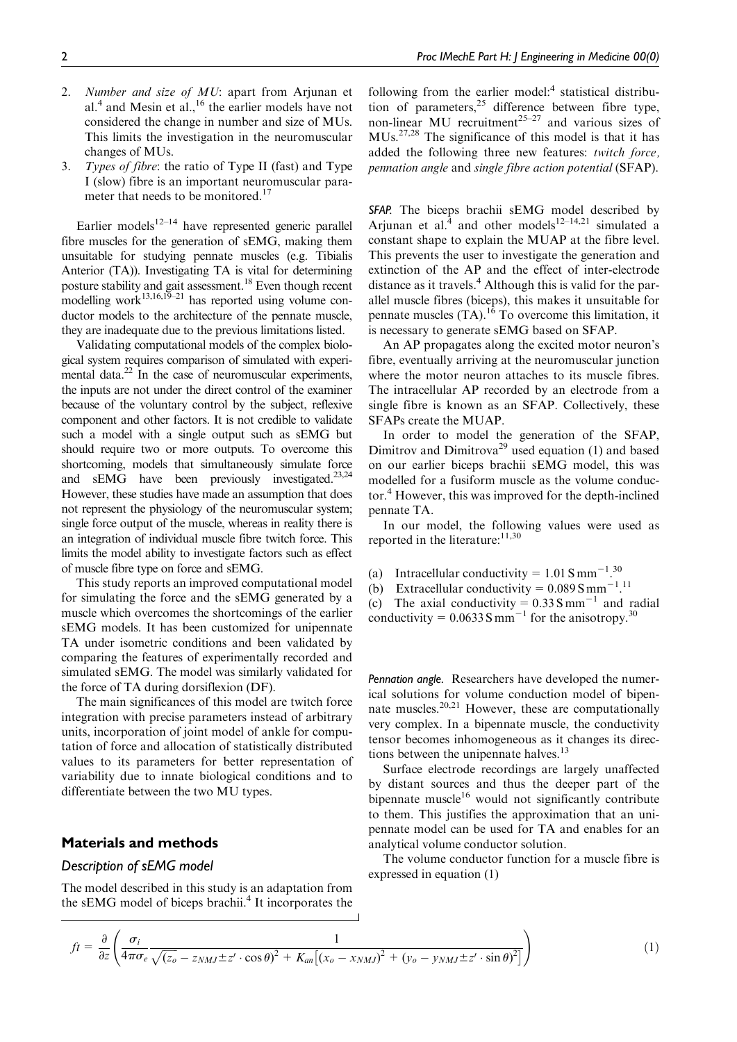- 2. Number and size of MU: apart from Arjunan et al.<sup>4</sup> and Mesin et al.,<sup>16</sup> the earlier models have not considered the change in number and size of MUs. This limits the investigation in the neuromuscular changes of MUs.
- 3. Types of fibre: the ratio of Type II (fast) and Type I (slow) fibre is an important neuromuscular parameter that needs to be monitored.<sup>17</sup>

Earlier models<sup>12–14</sup> have represented generic parallel fibre muscles for the generation of sEMG, making them unsuitable for studying pennate muscles (e.g. Tibialis Anterior (TA)). Investigating TA is vital for determining posture stability and gait assessment.<sup>18</sup> Even though recent modelling work<sup>13,16,19–21</sup> has reported using volume conductor models to the architecture of the pennate muscle, they are inadequate due to the previous limitations listed.

Validating computational models of the complex biological system requires comparison of simulated with experimental data. $22$  In the case of neuromuscular experiments, the inputs are not under the direct control of the examiner because of the voluntary control by the subject, reflexive component and other factors. It is not credible to validate such a model with a single output such as sEMG but should require two or more outputs. To overcome this shortcoming, models that simultaneously simulate force and sEMG have been previously investigated.<sup>23,24</sup> However, these studies have made an assumption that does not represent the physiology of the neuromuscular system; single force output of the muscle, whereas in reality there is an integration of individual muscle fibre twitch force. This limits the model ability to investigate factors such as effect of muscle fibre type on force and sEMG.

This study reports an improved computational model for simulating the force and the sEMG generated by a muscle which overcomes the shortcomings of the earlier sEMG models. It has been customized for unipennate TA under isometric conditions and been validated by comparing the features of experimentally recorded and simulated sEMG. The model was similarly validated for the force of TA during dorsiflexion (DF).

The main significances of this model are twitch force integration with precise parameters instead of arbitrary units, incorporation of joint model of ankle for computation of force and allocation of statistically distributed values to its parameters for better representation of variability due to innate biological conditions and to differentiate between the two MU types.

## Materials and methods

### *Description of sEMG model*

The model described in this study is an adaptation from the sEMG model of biceps brachii.<sup>4</sup> It incorporates the

following from the earlier model:<sup>4</sup> statistical distribution of parameters, $25$  difference between fibre type, non-linear MU recruitment<sup>25-27</sup> and various sizes of MUs.27,28 The significance of this model is that it has added the following three new features: twitch force, pennation angle and single fibre action potential (SFAP).

*SFAP.* The biceps brachii sEMG model described by Arjunan et al. $4$  and other models<sup>12-14,21</sup> simulated a constant shape to explain the MUAP at the fibre level. This prevents the user to investigate the generation and extinction of the AP and the effect of inter-electrode distance as it travels.<sup>4</sup> Although this is valid for the parallel muscle fibres (biceps), this makes it unsuitable for pennate muscles  $(TA)$ .<sup>16</sup> To overcome this limitation, it is necessary to generate sEMG based on SFAP.

An AP propagates along the excited motor neuron's fibre, eventually arriving at the neuromuscular junction where the motor neuron attaches to its muscle fibres. The intracellular AP recorded by an electrode from a single fibre is known as an SFAP. Collectively, these SFAPs create the MUAP.

In order to model the generation of the SFAP, Dimitrov and Dimitrova<sup>29</sup> used equation (1) and based on our earlier biceps brachii sEMG model, this was modelled for a fusiform muscle as the volume conductor.<sup>4</sup> However, this was improved for the depth-inclined pennate TA.

In our model, the following values were used as reported in the literature: $11,30$ 

- (a) Intracellular conductivity =  $1.01 \text{ S mm}^{-1}$ .<sup>30</sup>
- (b) Extracellular conductivity =  $0.089$  S mm<sup>-1</sup>.<sup>11</sup>
- (c) The axial conductivity =  $0.33$  S mm<sup>-1</sup> and radial
- conductivity =  $0.0633$  S mm<sup>-1</sup> for the anisotropy.<sup>30</sup>

*Pennation angle.* Researchers have developed the numerical solutions for volume conduction model of bipennate muscles.20,21 However, these are computationally very complex. In a bipennate muscle, the conductivity tensor becomes inhomogeneous as it changes its directions between the unipennate halves.<sup>13</sup>

Surface electrode recordings are largely unaffected by distant sources and thus the deeper part of the bipennate muscle $16$  would not significantly contribute to them. This justifies the approximation that an unipennate model can be used for TA and enables for an analytical volume conductor solution.

The volume conductor function for a muscle fibre is expressed in equation (1)

$$
ft = \frac{\partial}{\partial z} \left( \frac{\sigma_i}{4\pi\sigma_e} \frac{1}{\sqrt{(z_o - z_{NMJ} \pm z' \cdot \cos\theta)^2 + K_{an}[(x_o - x_{NMJ})^2 + (y_o - y_{NMJ} \pm z' \cdot \sin\theta)^2]}} \right)
$$
(1)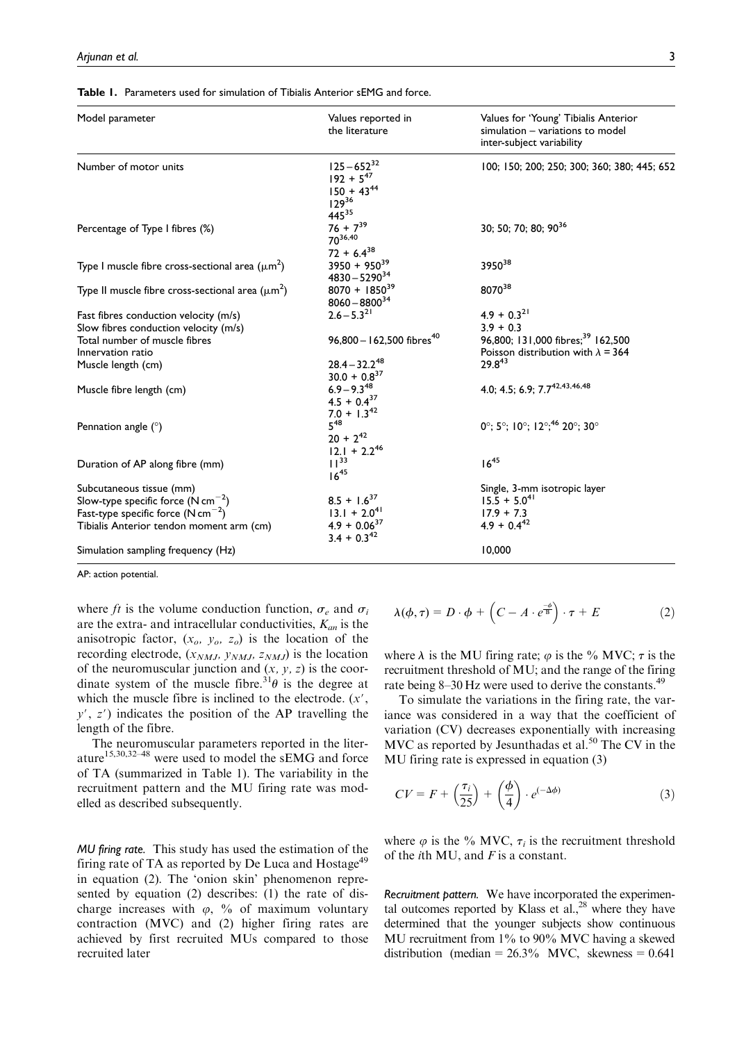| <b>Table 1.</b> Parameters used for simulation of Tibialis Anterior sEMG and force. |  |
|-------------------------------------------------------------------------------------|--|
|-------------------------------------------------------------------------------------|--|

| Model parameter                                       | Values reported in<br>the literature                                         | Values for 'Young' Tibialis Anterior<br>simulation - variations to model<br>inter-subject variability |
|-------------------------------------------------------|------------------------------------------------------------------------------|-------------------------------------------------------------------------------------------------------|
| Number of motor units                                 | $125 - 652^{32}$<br>$192 + 5^{47}$<br>$150 + 43^{44}$<br>$129^{36}$<br>44535 | 100; 150; 200; 250; 300; 360; 380; 445; 652                                                           |
| Percentage of Type I fibres (%)                       | $76 + 7^{39}$<br>$70^{36,40}$<br>$72 + 6.4^{38}$                             | 30; 50; 70; 80; 9036                                                                                  |
| Type I muscle fibre cross-sectional area $(\mu m^2)$  | $3950 + 950^{39}$<br>$4830 - 5290^{34}$                                      | 3950 <sup>38</sup>                                                                                    |
| Type II muscle fibre cross-sectional area $(\mu m^2)$ | $8070 + 1850^{39}$<br>$8060 - 8800^{34}$                                     | 807038                                                                                                |
| Fast fibres conduction velocity (m/s)                 | $2.6 - 5.3^{21}$                                                             | $4.9 + 0.3^{21}$                                                                                      |
| Slow fibres conduction velocity (m/s)                 |                                                                              | $3.9 + 0.3$                                                                                           |
| Total number of muscle fibres                         | 96,800 - 162,500 fibres <sup>40</sup>                                        | 96,800; 131,000 fibres; <sup>39</sup> 162,500                                                         |
| Innervation ratio                                     |                                                                              | Poisson distribution with $\lambda = 364$                                                             |
| Muscle length (cm)                                    | $28.4 - 32.2^{48}$<br>$30.0 + 0.8^{37}$                                      | $29.8^{43}$                                                                                           |
| Muscle fibre length (cm)                              | $6.9 - 9.3^{48}$<br>$4.5 + 0.4^{37}$<br>$7.0 + 1.3^{42}$                     | 4.0; 4.5; 6.9; 7.742,43,46,48                                                                         |
| Pennation angle $(°)$                                 | $5^{48}$<br>$20 + 2^{42}$<br>$12.1 + 2.2^{46}$                               | $0^\circ$ ; 5°; 10°; 12°; <sup>46</sup> 20°; 30°                                                      |
| Duration of AP along fibre (mm)                       | $11^{33}$<br>$16^{45}$                                                       | $16^{45}$                                                                                             |
| Subcutaneous tissue (mm)                              |                                                                              | Single, 3-mm isotropic layer                                                                          |
| Slow-type specific force $(N \text{ cm}^{-2})$        | $8.5 + 1.6^{37}$                                                             | $15.\overline{5} + 5.0^{41}$                                                                          |
| Fast-type specific force $(N \text{ cm}^{-2})$        | $13.1 + 2.041$                                                               | $17.9 + 7.3$                                                                                          |
| Tibialis Anterior tendon moment arm (cm)              | $4.9 + 0.06^{37}$<br>$3.4 + 0.3^{42}$                                        | $4.9 + 0.4^{42}$                                                                                      |
| Simulation sampling frequency (Hz)                    |                                                                              | 10,000                                                                                                |

AP: action potential.

where ft is the volume conduction function,  $\sigma_e$  and  $\sigma_i$ are the extra- and intracellular conductivities,  $K_{an}$  is the anisotropic factor,  $(x_o, y_o, z_o)$  is the location of the recording electrode,  $(x_{NMJ}, y_{NMJ}, z_{NMJ})$  is the location of the neuromuscular junction and  $(x, y, z)$  is the coordinate system of the muscle fibre.<sup>31</sup> $\theta$  is the degree at which the muscle fibre is inclined to the electrode.  $(x', \theta)$  $y'$ ,  $z'$ ) indicates the position of the AP travelling the length of the fibre.

The neuromuscular parameters reported in the literature15,30,32–48 were used to model the sEMG and force of TA (summarized in Table 1). The variability in the recruitment pattern and the MU firing rate was modelled as described subsequently.

*MU firing rate.* This study has used the estimation of the firing rate of TA as reported by De Luca and Hostage<sup>49</sup> in equation (2). The 'onion skin' phenomenon represented by equation (2) describes: (1) the rate of discharge increases with  $\varphi$ , % of maximum voluntary contraction (MVC) and (2) higher firing rates are achieved by first recruited MUs compared to those recruited later

$$
\lambda(\phi,\tau) = D \cdot \phi + \left(C - A \cdot e^{\frac{-\phi}{B}}\right) \cdot \tau + E \tag{2}
$$

where  $\lambda$  is the MU firing rate;  $\varphi$  is the % MVC;  $\tau$  is the recruitment threshold of MU; and the range of the firing rate being 8–30 Hz were used to derive the constants.<sup>49</sup>

To simulate the variations in the firing rate, the variance was considered in a way that the coefficient of variation (CV) decreases exponentially with increasing MVC as reported by Jesunthadas et al.<sup>50</sup> The CV in the MU firing rate is expressed in equation (3)

$$
CV = F + \left(\frac{\tau_i}{25}\right) + \left(\frac{\phi}{4}\right) \cdot e^{(-\Delta \phi)} \tag{3}
$$

where  $\varphi$  is the % MVC,  $\tau_i$  is the recruitment threshold of the *i*th MU, and  $F$  is a constant.

*Recruitment pattern.* We have incorporated the experimental outcomes reported by Klass et  $al.$ <sup>28</sup> where they have determined that the younger subjects show continuous MU recruitment from 1% to 90% MVC having a skewed distribution (median =  $26.3\%$  MVC, skewness = 0.641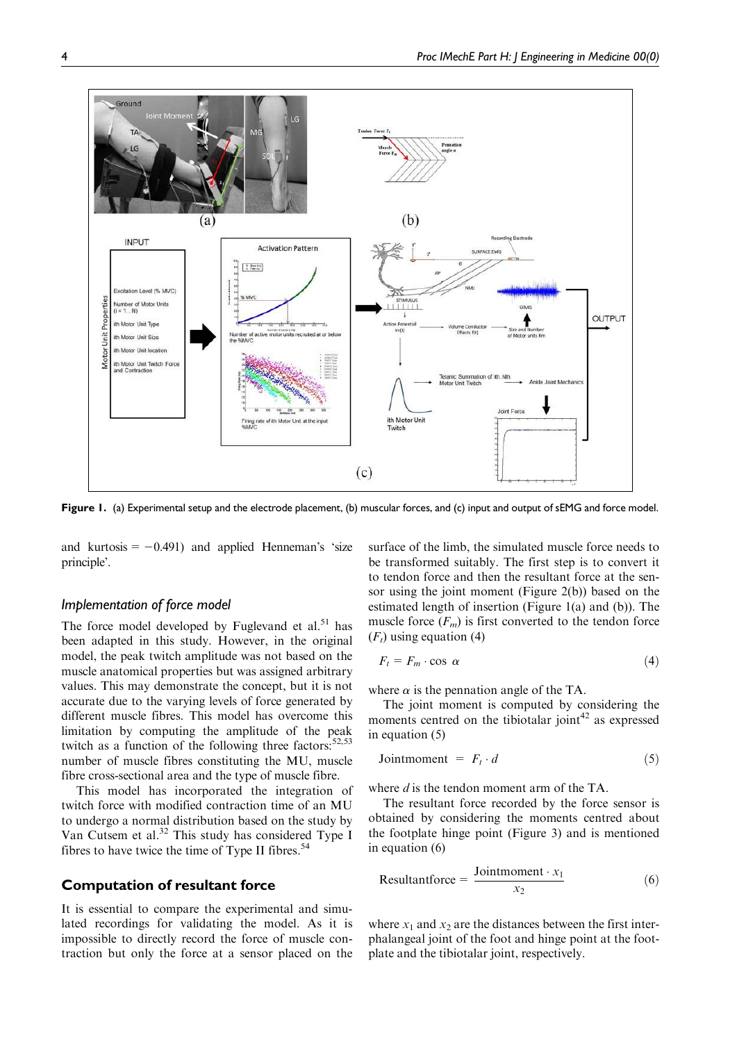

Figure 1. (a) Experimental setup and the electrode placement, (b) muscular forces, and (c) input and output of sEMG and force model.

and kurtosis  $=$  -0.491) and applied Henneman's 'size principle'.

# *Implementation of force model*

The force model developed by Fuglevand et al.<sup>51</sup> has been adapted in this study. However, in the original model, the peak twitch amplitude was not based on the muscle anatomical properties but was assigned arbitrary values. This may demonstrate the concept, but it is not accurate due to the varying levels of force generated by different muscle fibres. This model has overcome this limitation by computing the amplitude of the peak twitch as a function of the following three factors: $52,53$ number of muscle fibres constituting the MU, muscle fibre cross-sectional area and the type of muscle fibre.

This model has incorporated the integration of twitch force with modified contraction time of an MU to undergo a normal distribution based on the study by Van Cutsem et al.<sup>32</sup> This study has considered Type I fibres to have twice the time of Type II fibres. $54$ 

# Computation of resultant force

It is essential to compare the experimental and simulated recordings for validating the model. As it is impossible to directly record the force of muscle contraction but only the force at a sensor placed on the surface of the limb, the simulated muscle force needs to be transformed suitably. The first step is to convert it to tendon force and then the resultant force at the sensor using the joint moment (Figure 2(b)) based on the estimated length of insertion (Figure 1(a) and (b)). The muscle force  $(F_m)$  is first converted to the tendon force  $(F_t)$  using equation (4)

$$
F_t = F_m \cdot \cos \alpha \tag{4}
$$

where  $\alpha$  is the pennation angle of the TA.

The joint moment is computed by considering the moments centred on the tibiotalar joint $42$  as expressed in equation (5)

$$
Joint moment = F_t \cdot d \tag{5}
$$

where  $d$  is the tendon moment arm of the TA.

The resultant force recorded by the force sensor is obtained by considering the moments centred about the footplate hinge point (Figure 3) and is mentioned in equation (6)

Resultantforce = 
$$
\frac{\text{Jointmoment} \cdot x_1}{x_2}
$$
 (6)

where  $x_1$  and  $x_2$  are the distances between the first interphalangeal joint of the foot and hinge point at the footplate and the tibiotalar joint, respectively.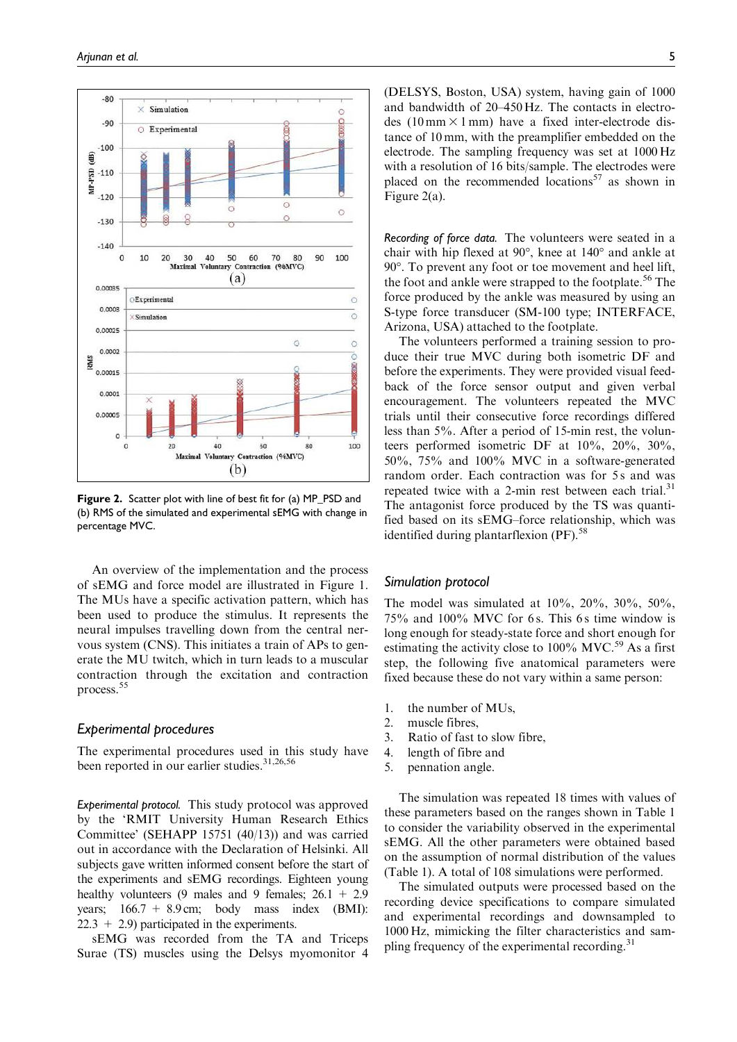

Figure 2. Scatter plot with line of best fit for (a) MP\_PSD and (b) RMS of the simulated and experimental sEMG with change in percentage MVC.

An overview of the implementation and the process of sEMG and force model are illustrated in Figure 1. The MUs have a specific activation pattern, which has been used to produce the stimulus. It represents the neural impulses travelling down from the central nervous system (CNS). This initiates a train of APs to generate the MU twitch, which in turn leads to a muscular contraction through the excitation and contraction process.<sup>55</sup>

## *Experimental procedures*

The experimental procedures used in this study have been reported in our earlier studies.<sup>31,26,56</sup>

*Experimental protocol.* This study protocol was approved by the 'RMIT University Human Research Ethics Committee' (SEHAPP 15751 (40/13)) and was carried out in accordance with the Declaration of Helsinki. All subjects gave written informed consent before the start of the experiments and sEMG recordings. Eighteen young healthy volunteers (9 males and 9 females;  $26.1 + 2.9$ years;  $166.7 + 8.9$  cm; body mass index (BMI):  $22.3 + 2.9$ ) participated in the experiments.

sEMG was recorded from the TA and Triceps Surae (TS) muscles using the Delsys myomonitor 4 (DELSYS, Boston, USA) system, having gain of 1000 and bandwidth of 20–450 Hz. The contacts in electrodes (10 mm  $\times$  1 mm) have a fixed inter-electrode distance of 10 mm, with the preamplifier embedded on the electrode. The sampling frequency was set at 1000 Hz with a resolution of 16 bits/sample. The electrodes were placed on the recommended locations<sup>57</sup> as shown in Figure 2(a).

*Recording of force data.* The volunteers were seated in a chair with hip flexed at  $90^{\circ}$ , knee at  $140^{\circ}$  and ankle at 90. To prevent any foot or toe movement and heel lift, the foot and ankle were strapped to the footplate.<sup>56</sup> The force produced by the ankle was measured by using an S-type force transducer (SM-100 type; INTERFACE, Arizona, USA) attached to the footplate.

The volunteers performed a training session to produce their true MVC during both isometric DF and before the experiments. They were provided visual feedback of the force sensor output and given verbal encouragement. The volunteers repeated the MVC trials until their consecutive force recordings differed less than 5%. After a period of 15-min rest, the volunteers performed isometric DF at 10%, 20%, 30%, 50%, 75% and 100% MVC in a software-generated random order. Each contraction was for 5s and was repeated twice with a 2-min rest between each trial.<sup>31</sup> The antagonist force produced by the TS was quantified based on its sEMG–force relationship, which was identified during plantarflexion (PF).<sup>58</sup>

#### *Simulation protocol*

The model was simulated at  $10\%$ ,  $20\%$ ,  $30\%$ ,  $50\%$ ,  $75\%$  and  $100\%$  MVC for 6s. This 6s time window is long enough for steady-state force and short enough for estimating the activity close to  $100\%$  MVC.<sup>59</sup> As a first step, the following five anatomical parameters were fixed because these do not vary within a same person:

- 1. the number of MUs,
- 2. muscle fibres,
- 3. Ratio of fast to slow fibre,
- 4. length of fibre and
- 5. pennation angle.

The simulation was repeated 18 times with values of these parameters based on the ranges shown in Table 1 to consider the variability observed in the experimental sEMG. All the other parameters were obtained based on the assumption of normal distribution of the values (Table 1). A total of 108 simulations were performed.

The simulated outputs were processed based on the recording device specifications to compare simulated and experimental recordings and downsampled to 1000 Hz, mimicking the filter characteristics and sampling frequency of the experimental recording. $31$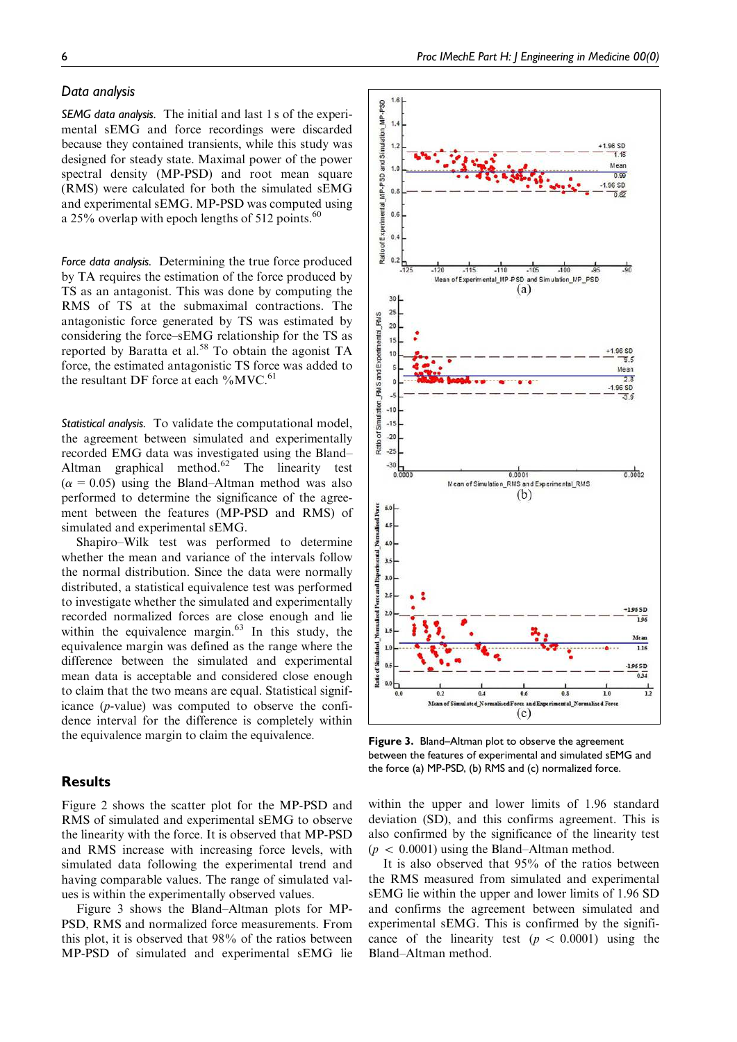## *Data analysis*

*SEMG data analysis.* The initial and last 1 s of the experimental sEMG and force recordings were discarded because they contained transients, while this study was designed for steady state. Maximal power of the power spectral density (MP-PSD) and root mean square (RMS) were calculated for both the simulated sEMG and experimental sEMG. MP-PSD was computed using a 25% overlap with epoch lengths of 512 points. $60$ 

*Force data analysis.* Determining the true force produced by TA requires the estimation of the force produced by TS as an antagonist. This was done by computing the RMS of TS at the submaximal contractions. The antagonistic force generated by TS was estimated by considering the force–sEMG relationship for the TS as reported by Baratta et al.<sup>58</sup> To obtain the agonist TA force, the estimated antagonistic TS force was added to the resultant DF force at each  $\%$ MVC.<sup>61</sup>

*Statistical analysis.* To validate the computational model, the agreement between simulated and experimentally recorded EMG data was investigated using the Bland– Altman graphical method.<sup>62</sup> The linearity test  $(\alpha = 0.05)$  using the Bland–Altman method was also performed to determine the significance of the agreement between the features (MP-PSD and RMS) of simulated and experimental sEMG.

Shapiro–Wilk test was performed to determine whether the mean and variance of the intervals follow the normal distribution. Since the data were normally distributed, a statistical equivalence test was performed to investigate whether the simulated and experimentally recorded normalized forces are close enough and lie within the equivalence margin. $63$  In this study, the equivalence margin was defined as the range where the difference between the simulated and experimental mean data is acceptable and considered close enough to claim that the two means are equal. Statistical significance (p-value) was computed to observe the confidence interval for the difference is completely within the equivalence margin to claim the equivalence.

# **Results**

Figure 2 shows the scatter plot for the MP-PSD and RMS of simulated and experimental sEMG to observe the linearity with the force. It is observed that MP-PSD and RMS increase with increasing force levels, with simulated data following the experimental trend and having comparable values. The range of simulated values is within the experimentally observed values.

Figure 3 shows the Bland–Altman plots for MP-PSD, RMS and normalized force measurements. From this plot, it is observed that 98% of the ratios between MP-PSD of simulated and experimental sEMG lie



Figure 3. Bland–Altman plot to observe the agreement between the features of experimental and simulated sEMG and the force (a) MP-PSD, (b) RMS and (c) normalized force.

within the upper and lower limits of 1.96 standard deviation (SD), and this confirms agreement. This is also confirmed by the significance of the linearity test  $(p \lt 0.0001)$  using the Bland–Altman method.

It is also observed that 95% of the ratios between the RMS measured from simulated and experimental sEMG lie within the upper and lower limits of 1.96 SD and confirms the agreement between simulated and experimental sEMG. This is confirmed by the significance of the linearity test ( $p \, < \, 0.0001$ ) using the Bland–Altman method.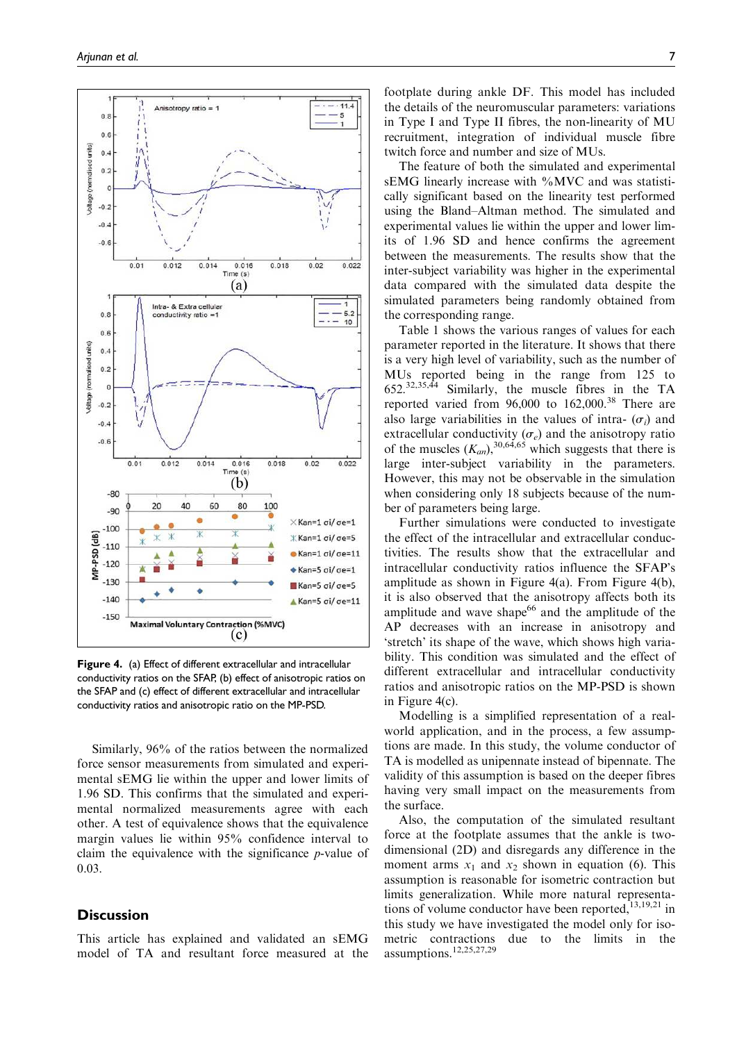

Figure 4. (a) Effect of different extracellular and intracellular conductivity ratios on the SFAP, (b) effect of anisotropic ratios on the SFAP and (c) effect of different extracellular and intracellular conductivity ratios and anisotropic ratio on the MP-PSD.

Similarly, 96% of the ratios between the normalized force sensor measurements from simulated and experimental sEMG lie within the upper and lower limits of 1.96 SD. This confirms that the simulated and experimental normalized measurements agree with each other. A test of equivalence shows that the equivalence margin values lie within 95% confidence interval to claim the equivalence with the significance p-value of 0.03.

# **Discussion**

This article has explained and validated an sEMG model of TA and resultant force measured at the footplate during ankle DF. This model has included the details of the neuromuscular parameters: variations in Type I and Type II fibres, the non-linearity of MU recruitment, integration of individual muscle fibre twitch force and number and size of MUs.

The feature of both the simulated and experimental sEMG linearly increase with %MVC and was statistically significant based on the linearity test performed using the Bland–Altman method. The simulated and experimental values lie within the upper and lower limits of 1.96 SD and hence confirms the agreement between the measurements. The results show that the inter-subject variability was higher in the experimental data compared with the simulated data despite the simulated parameters being randomly obtained from the corresponding range.

Table 1 shows the various ranges of values for each parameter reported in the literature. It shows that there is a very high level of variability, such as the number of MUs reported being in the range from 125 to 652.32,35,44 Similarly, the muscle fibres in the TA reported varied from  $96,000$  to  $162,000$ .<sup>38</sup> There are also large variabilities in the values of intra-  $(\sigma_i)$  and extracellular conductivity  $(\sigma_e)$  and the anisotropy ratio of the muscles  $(K_{an})$ ,  $^{30,64,65}$  which suggests that there is large inter-subject variability in the parameters. However, this may not be observable in the simulation when considering only 18 subjects because of the number of parameters being large.

Further simulations were conducted to investigate the effect of the intracellular and extracellular conductivities. The results show that the extracellular and intracellular conductivity ratios influence the SFAP's amplitude as shown in Figure 4(a). From Figure 4(b), it is also observed that the anisotropy affects both its amplitude and wave shape<sup>66</sup> and the amplitude of the AP decreases with an increase in anisotropy and 'stretch' its shape of the wave, which shows high variability. This condition was simulated and the effect of different extracellular and intracellular conductivity ratios and anisotropic ratios on the MP-PSD is shown in Figure 4(c).

Modelling is a simplified representation of a realworld application, and in the process, a few assumptions are made. In this study, the volume conductor of TA is modelled as unipennate instead of bipennate. The validity of this assumption is based on the deeper fibres having very small impact on the measurements from the surface.

Also, the computation of the simulated resultant force at the footplate assumes that the ankle is twodimensional (2D) and disregards any difference in the moment arms  $x_1$  and  $x_2$  shown in equation (6). This assumption is reasonable for isometric contraction but limits generalization. While more natural representations of volume conductor have been reported, $13,19,21$  in this study we have investigated the model only for isometric contractions due to the limits in the assumptions.12,25,27,29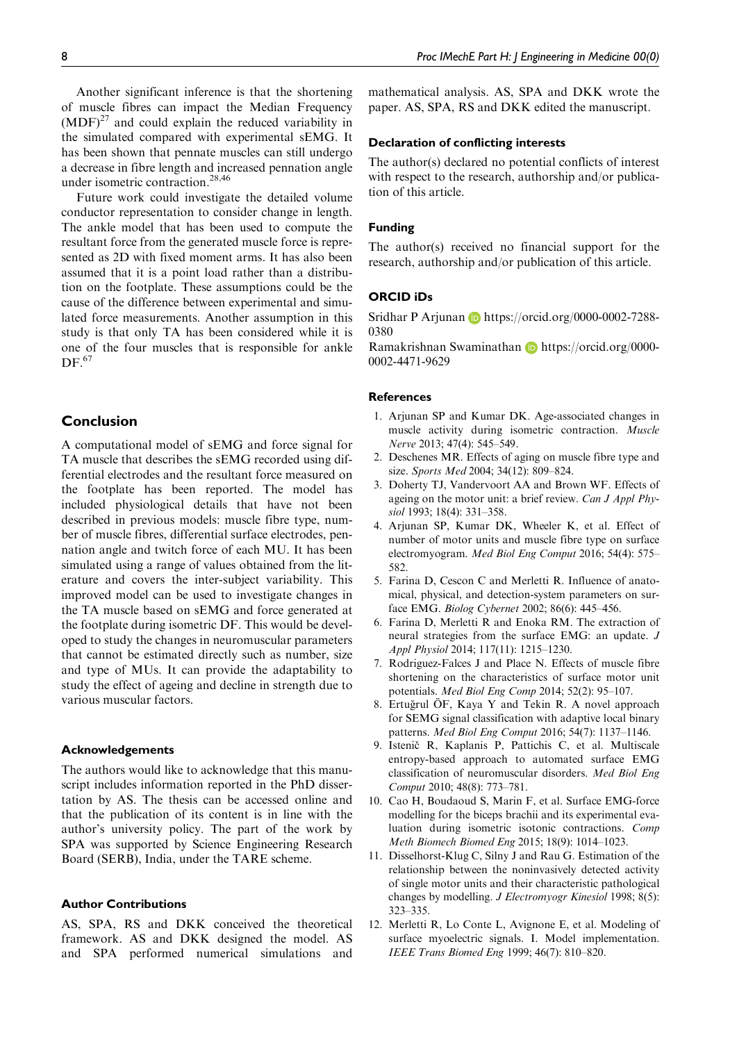Another significant inference is that the shortening of muscle fibres can impact the Median Frequency  $(MDF)<sup>27</sup>$  and could explain the reduced variability in the simulated compared with experimental sEMG. It has been shown that pennate muscles can still undergo a decrease in fibre length and increased pennation angle under isometric contraction.28,46

Future work could investigate the detailed volume conductor representation to consider change in length. The ankle model that has been used to compute the resultant force from the generated muscle force is represented as 2D with fixed moment arms. It has also been assumed that it is a point load rather than a distribution on the footplate. These assumptions could be the cause of the difference between experimental and simulated force measurements. Another assumption in this study is that only TA has been considered while it is one of the four muscles that is responsible for ankle  $DF.<sub>67</sub>$ 

# Conclusion

A computational model of sEMG and force signal for TA muscle that describes the sEMG recorded using differential electrodes and the resultant force measured on the footplate has been reported. The model has included physiological details that have not been described in previous models: muscle fibre type, number of muscle fibres, differential surface electrodes, pennation angle and twitch force of each MU. It has been simulated using a range of values obtained from the literature and covers the inter-subject variability. This improved model can be used to investigate changes in the TA muscle based on sEMG and force generated at the footplate during isometric DF. This would be developed to study the changes in neuromuscular parameters that cannot be estimated directly such as number, size and type of MUs. It can provide the adaptability to study the effect of ageing and decline in strength due to various muscular factors.

#### Acknowledgements

The authors would like to acknowledge that this manuscript includes information reported in the PhD dissertation by AS. The thesis can be accessed online and that the publication of its content is in line with the author's university policy. The part of the work by SPA was supported by Science Engineering Research Board (SERB), India, under the TARE scheme.

## Author Contributions

AS, SPA, RS and DKK conceived the theoretical framework. AS and DKK designed the model. AS and SPA performed numerical simulations and mathematical analysis. AS, SPA and DKK wrote the paper. AS, SPA, RS and DKK edited the manuscript.

## Declaration of conflicting interests

The author(s) declared no potential conflicts of interest with respect to the research, authorship and/or publication of this article.

#### Funding

The author(s) received no financial support for the research, authorship and/or publication of this article.

#### ORCID iDs

Sridhar P Arjunan **b** https://orcid.org/0000-0002-7288-0380

Ramakrishnan Swaminathan **https://orcid.org/0000-**0002-4471-9629

## **References**

- 1. Arjunan SP and Kumar DK. Age-associated changes in muscle activity during isometric contraction. Muscle Nerve 2013; 47(4): 545–549.
- 2. Deschenes MR. Effects of aging on muscle fibre type and size. Sports Med 2004; 34(12): 809–824.
- 3. Doherty TJ, Vandervoort AA and Brown WF. Effects of ageing on the motor unit: a brief review. Can J Appl Physiol 1993; 18(4): 331–358.
- 4. Arjunan SP, Kumar DK, Wheeler K, et al. Effect of number of motor units and muscle fibre type on surface electromyogram. Med Biol Eng Comput 2016; 54(4): 575– 582.
- 5. Farina D, Cescon C and Merletti R. Influence of anatomical, physical, and detection-system parameters on surface EMG. Biolog Cybernet 2002; 86(6): 445–456.
- 6. Farina D, Merletti R and Enoka RM. The extraction of neural strategies from the surface EMG: an update. J Appl Physiol 2014; 117(11): 1215–1230.
- 7. Rodriguez-Falces J and Place N. Effects of muscle fibre shortening on the characteristics of surface motor unit potentials. Med Biol Eng Comp 2014; 52(2): 95–107.
- 8. Ertuğrul ÖF, Kaya Y and Tekin R. A novel approach for SEMG signal classification with adaptive local binary patterns. Med Biol Eng Comput 2016; 54(7): 1137–1146.
- 9. Istenič R, Kaplanis P, Pattichis C, et al. Multiscale entropy-based approach to automated surface EMG classification of neuromuscular disorders. Med Biol Eng Comput 2010; 48(8): 773–781.
- 10. Cao H, Boudaoud S, Marin F, et al. Surface EMG-force modelling for the biceps brachii and its experimental evaluation during isometric isotonic contractions. Comp Meth Biomech Biomed Eng 2015; 18(9): 1014–1023.
- 11. Disselhorst-Klug C, Silny J and Rau G. Estimation of the relationship between the noninvasively detected activity of single motor units and their characteristic pathological changes by modelling. J Electromyogr Kinesiol 1998; 8(5): 323–335.
- 12. Merletti R, Lo Conte L, Avignone E, et al. Modeling of surface myoelectric signals. I. Model implementation. IEEE Trans Biomed Eng 1999; 46(7): 810–820.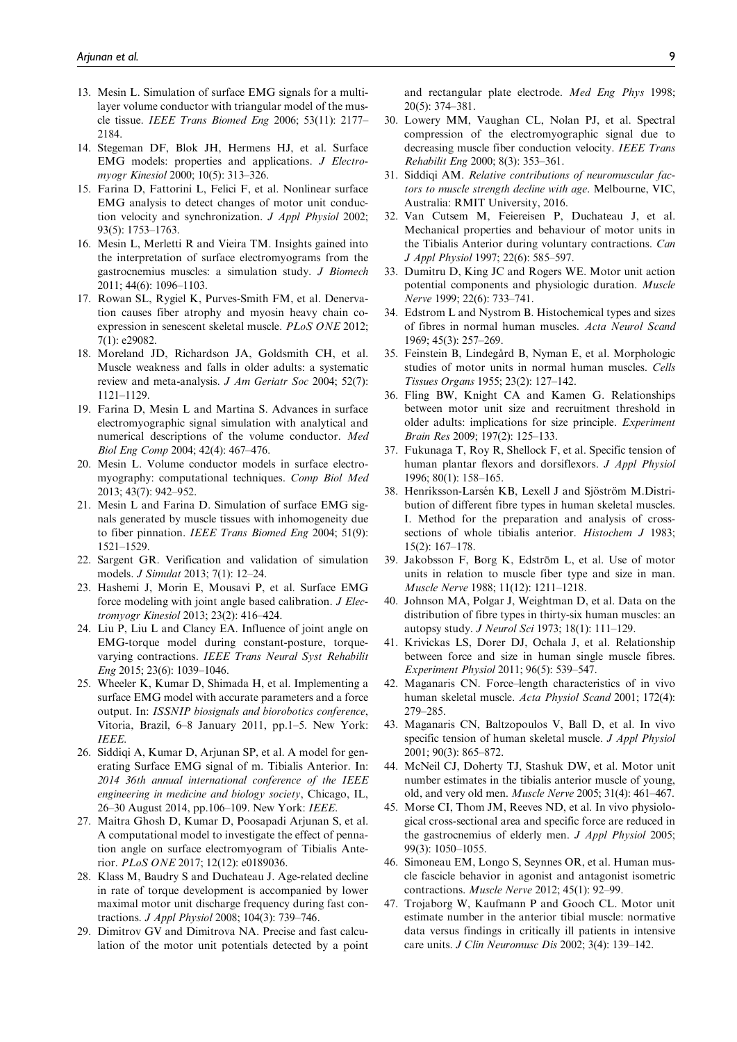- 13. Mesin L. Simulation of surface EMG signals for a multilayer volume conductor with triangular model of the muscle tissue. IEEE Trans Biomed Eng 2006; 53(11): 2177– 2184.
- 14. Stegeman DF, Blok JH, Hermens HJ, et al. Surface EMG models: properties and applications. J Electromyogr Kinesiol 2000; 10(5): 313–326.
- 15. Farina D, Fattorini L, Felici F, et al. Nonlinear surface EMG analysis to detect changes of motor unit conduction velocity and synchronization. J Appl Physiol 2002; 93(5): 1753–1763.
- 16. Mesin L, Merletti R and Vieira TM. Insights gained into the interpretation of surface electromyograms from the gastrocnemius muscles: a simulation study. J Biomech 2011; 44(6): 1096–1103.
- 17. Rowan SL, Rygiel K, Purves-Smith FM, et al. Denervation causes fiber atrophy and myosin heavy chain coexpression in senescent skeletal muscle. PLoS ONE 2012; 7(1): e29082.
- 18. Moreland JD, Richardson JA, Goldsmith CH, et al. Muscle weakness and falls in older adults: a systematic review and meta-analysis. J Am Geriatr Soc 2004; 52(7): 1121–1129.
- 19. Farina D, Mesin L and Martina S. Advances in surface electromyographic signal simulation with analytical and numerical descriptions of the volume conductor. Med Biol Eng Comp 2004; 42(4): 467–476.
- 20. Mesin L. Volume conductor models in surface electromyography: computational techniques. Comp Biol Med 2013; 43(7): 942–952.
- 21. Mesin L and Farina D. Simulation of surface EMG signals generated by muscle tissues with inhomogeneity due to fiber pinnation. IEEE Trans Biomed Eng 2004; 51(9): 1521–1529.
- 22. Sargent GR. Verification and validation of simulation models. J Simulat 2013; 7(1): 12–24.
- 23. Hashemi J, Morin E, Mousavi P, et al. Surface EMG force modeling with joint angle based calibration. J Electromyogr Kinesiol 2013; 23(2): 416–424.
- 24. Liu P, Liu L and Clancy EA. Influence of joint angle on EMG-torque model during constant-posture, torquevarying contractions. IEEE Trans Neural Syst Rehabilit Eng 2015; 23(6): 1039–1046.
- 25. Wheeler K, Kumar D, Shimada H, et al. Implementing a surface EMG model with accurate parameters and a force output. In: ISSNIP biosignals and biorobotics conference, Vitoria, Brazil, 6–8 January 2011, pp.1–5. New York: IEEE.
- 26. Siddiqi A, Kumar D, Arjunan SP, et al. A model for generating Surface EMG signal of m. Tibialis Anterior. In: 2014 36th annual international conference of the IEEE engineering in medicine and biology society, Chicago, IL, 26–30 August 2014, pp.106–109. New York: IEEE.
- 27. Maitra Ghosh D, Kumar D, Poosapadi Arjunan S, et al. A computational model to investigate the effect of pennation angle on surface electromyogram of Tibialis Anterior. PLoS ONE 2017; 12(12): e0189036.
- 28. Klass M, Baudry S and Duchateau J. Age-related decline in rate of torque development is accompanied by lower maximal motor unit discharge frequency during fast contractions. J Appl Physiol 2008; 104(3): 739–746.
- 29. Dimitrov GV and Dimitrova NA. Precise and fast calculation of the motor unit potentials detected by a point

and rectangular plate electrode. Med Eng Phys 1998; 20(5): 374–381.

- 30. Lowery MM, Vaughan CL, Nolan PJ, et al. Spectral compression of the electromyographic signal due to decreasing muscle fiber conduction velocity. IEEE Trans Rehabilit Eng 2000; 8(3): 353–361.
- 31. Siddiqi AM. Relative contributions of neuromuscular factors to muscle strength decline with age. Melbourne, VIC, Australia: RMIT University, 2016.
- 32. Van Cutsem M, Feiereisen P, Duchateau J, et al. Mechanical properties and behaviour of motor units in the Tibialis Anterior during voluntary contractions. Can J Appl Physiol 1997; 22(6): 585–597.
- 33. Dumitru D, King JC and Rogers WE. Motor unit action potential components and physiologic duration. Muscle Nerve 1999; 22(6): 733–741.
- 34. Edstrom L and Nystrom B. Histochemical types and sizes of fibres in normal human muscles. Acta Neurol Scand 1969; 45(3): 257–269.
- 35. Feinstein B, Lindegård B, Nyman E, et al. Morphologic studies of motor units in normal human muscles. Cells Tissues Organs 1955; 23(2): 127–142.
- 36. Fling BW, Knight CA and Kamen G. Relationships between motor unit size and recruitment threshold in older adults: implications for size principle. Experiment Brain Res 2009; 197(2): 125–133.
- 37. Fukunaga T, Roy R, Shellock F, et al. Specific tension of human plantar flexors and dorsiflexors. J Appl Physiol 1996; 80(1): 158–165.
- 38. Henriksson-Larsén KB, Lexell J and Sjöström M.Distribution of different fibre types in human skeletal muscles. I. Method for the preparation and analysis of crosssections of whole tibialis anterior. Histochem J 1983; 15(2): 167–178.
- 39. Jakobsson F, Borg K, Edström L, et al. Use of motor units in relation to muscle fiber type and size in man. Muscle Nerve 1988; 11(12): 1211–1218.
- 40. Johnson MA, Polgar J, Weightman D, et al. Data on the distribution of fibre types in thirty-six human muscles: an autopsy study. J Neurol Sci 1973; 18(1): 111–129.
- 41. Krivickas LS, Dorer DJ, Ochala J, et al. Relationship between force and size in human single muscle fibres. Experiment Physiol 2011; 96(5): 539–547.
- 42. Maganaris CN. Force–length characteristics of in vivo human skeletal muscle. Acta Physiol Scand 2001; 172(4): 279–285.
- 43. Maganaris CN, Baltzopoulos V, Ball D, et al. In vivo specific tension of human skeletal muscle. J Appl Physiol 2001; 90(3): 865–872.
- 44. McNeil CJ, Doherty TJ, Stashuk DW, et al. Motor unit number estimates in the tibialis anterior muscle of young, old, and very old men. Muscle Nerve 2005; 31(4): 461–467.
- 45. Morse CI, Thom JM, Reeves ND, et al. In vivo physiological cross-sectional area and specific force are reduced in the gastrocnemius of elderly men. J Appl Physiol 2005; 99(3): 1050–1055.
- 46. Simoneau EM, Longo S, Seynnes OR, et al. Human muscle fascicle behavior in agonist and antagonist isometric contractions. Muscle Nerve 2012; 45(1): 92–99.
- 47. Trojaborg W, Kaufmann P and Gooch CL. Motor unit estimate number in the anterior tibial muscle: normative data versus findings in critically ill patients in intensive care units. J Clin Neuromusc Dis 2002; 3(4): 139–142.